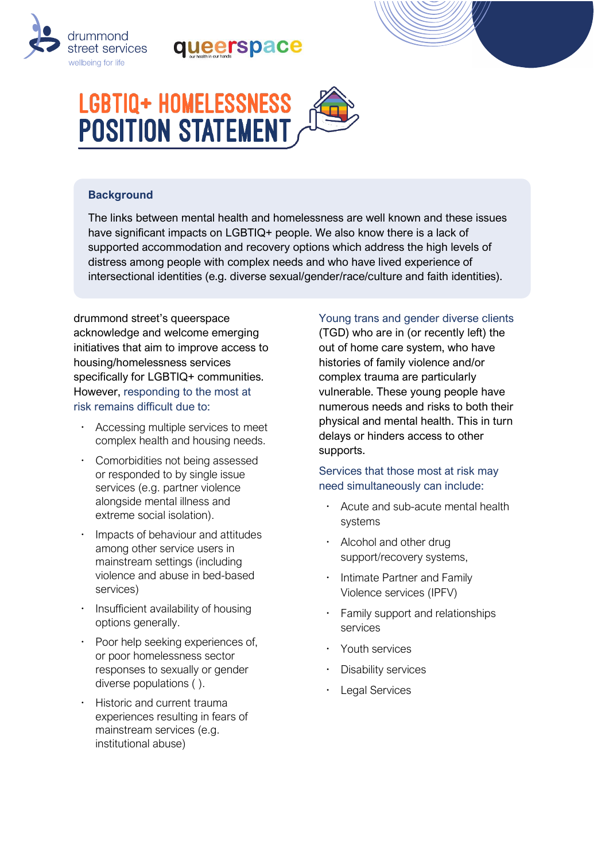

# queerspace



### **Background**

The links between mental health and homelessness are well known and these issues have significant impacts on LGBTIQ+ people. We also know there is a lack of supported accommodation and recovery options which address the high levels of distress among people with complex needs and who have lived experience of intersectional identities (e.g. diverse sexual/gender/race/culture and faith identities).

drummond street's queerspace acknowledge and welcome emerging initiatives that aim to improve access to housing/homelessness services specifically for LGBTIQ+ communities. However, responding to the most at risk remains difficult due to:

- Accessing multiple services to meet complex health and housing needs.
- Comorbidities not being assessed or responded to by single issue services (e.g. partner violence alongside mental illness and extreme social isolation).
- Impacts of behaviour and attitudes among other service users in mainstream settings (including violence and abuse in bed-based services)
- Insufficient availability of housing options generally.
- Poor help seeking experiences of, or poor homelessness sector responses to sexually or gender diverse populations ( ).
- Historic and current trauma experiences resulting in fears of mainstream services (e.g. institutional abuse)

#### Young trans and gender diverse clients

(TGD) who are in (or recently left) the out of home care system, who have histories of family violence and/or complex trauma are particularly vulnerable. These young people have numerous needs and risks to both their physical and mental health. This in turn delays or hinders access to other supports.

#### Services that those most at risk may need simultaneously can include:

- Acute and sub-acute mental health systems
- Alcohol and other drug support/recovery systems,
- **·** Intimate Partner and Family Violence services (IPFV)
- Family support and relationships services
- Youth services
- Disability services
- Legal Services